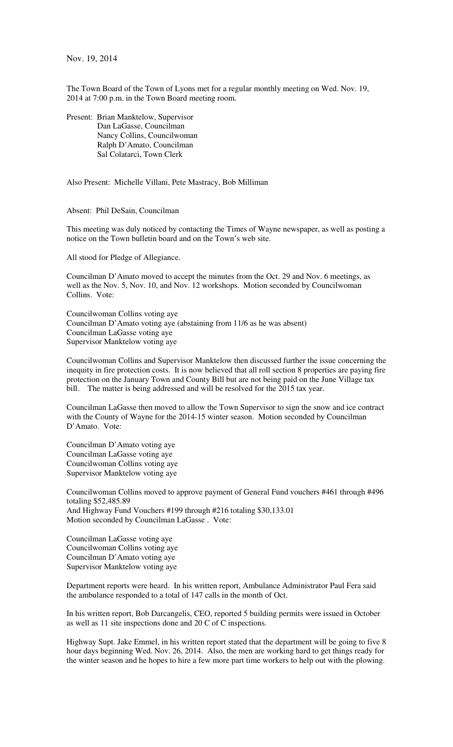Nov. 19, 2014

The Town Board of the Town of Lyons met for a regular monthly meeting on Wed. Nov. 19, 2014 at 7:00 p.m. in the Town Board meeting room.

Present: Brian Manktelow, Supervisor Dan LaGasse, Councilman Nancy Collins, Councilwoman Ralph D'Amato, Councilman Sal Colatarci, Town Clerk

Also Present: Michelle Villani, Pete Mastracy, Bob Milliman

Absent: Phil DeSain, Councilman

This meeting was duly noticed by contacting the Times of Wayne newspaper, as well as posting a notice on the Town bulletin board and on the Town's web site.

All stood for Pledge of Allegiance.

Councilman D'Amato moved to accept the minutes from the Oct. 29 and Nov. 6 meetings, as well as the Nov. 5, Nov. 10, and Nov. 12 workshops. Motion seconded by Councilwoman Collins. Vote:

Councilwoman Collins voting aye Councilman D'Amato voting aye (abstaining from 11/6 as he was absent) Councilman LaGasse voting aye Supervisor Manktelow voting aye

Councilwoman Collins and Supervisor Manktelow then discussed further the issue concerning the inequity in fire protection costs. It is now believed that all roll section 8 properties are paying fire protection on the January Town and County Bill but are not being paid on the June Village tax bill. The matter is being addressed and will be resolved for the 2015 tax year.

Councilman LaGasse then moved to allow the Town Supervisor to sign the snow and ice contract with the County of Wayne for the 2014-15 winter season. Motion seconded by Councilman D'Amato. Vote:

Councilman D'Amato voting aye Councilman LaGasse voting aye Councilwoman Collins voting aye Supervisor Manktelow voting aye

Councilwoman Collins moved to approve payment of General Fund vouchers #461 through #496 totaling \$52,485.89 And Highway Fund Vouchers #199 through #216 totaling \$30,133.01 Motion seconded by Councilman LaGasse . Vote:

Councilman LaGasse voting aye Councilwoman Collins voting aye Councilman D'Amato voting aye Supervisor Manktelow voting aye

Department reports were heard. In his written report, Ambulance Administrator Paul Fera said the ambulance responded to a total of 147 calls in the month of Oct.

In his written report, Bob Darcangelis, CEO, reported 5 building permits were issued in October as well as 11 site inspections done and 20 C of C inspections.

Highway Supt. Jake Emmel, in his written report stated that the department will be going to five 8 hour days beginning Wed. Nov. 26, 2014. Also, the men are working hard to get things ready for the winter season and he hopes to hire a few more part time workers to help out with the plowing.